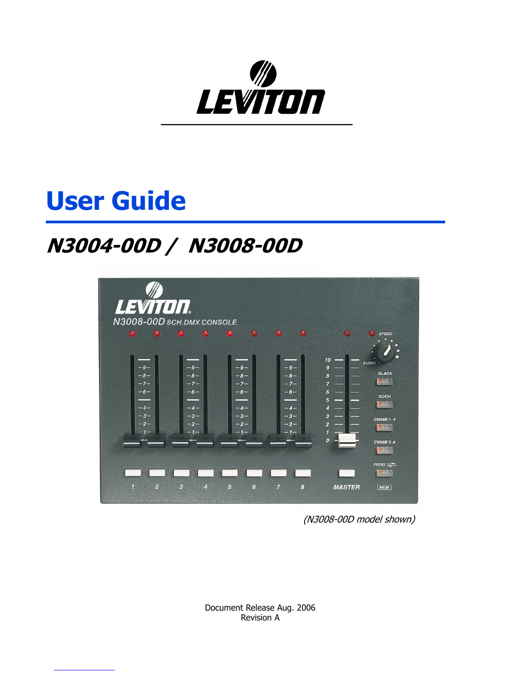

# **User Guide**

# **N3004-00D / N3008-00D**



<sup>(</sup>N3008-00D model shown)

Document Release Aug. 2006 Revision A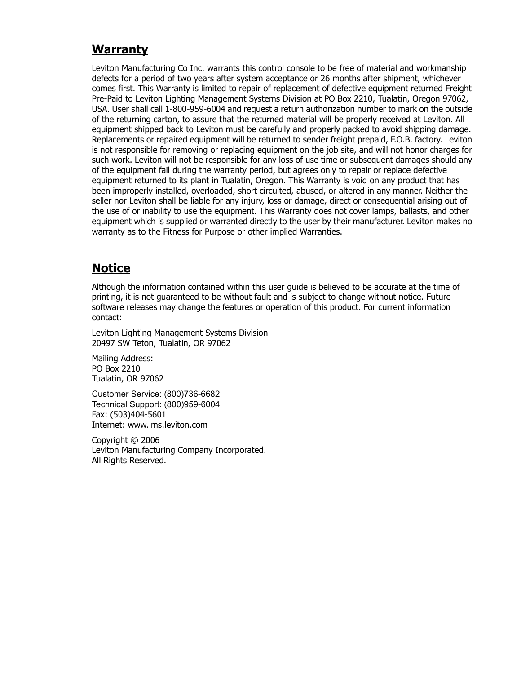## **Warranty**

Leviton Manufacturing Co Inc. warrants this control console to be free of material and workmanship defects for a period of two years after system acceptance or 26 months after shipment, whichever comes first. This Warranty is limited to repair of replacement of defective equipment returned Freight Pre-Paid to Leviton Lighting Management Systems Division at PO Box 2210, Tualatin, Oregon 97062, USA. User shall call 1-800-959-6004 and request a return authorization number to mark on the outside of the returning carton, to assure that the returned material will be properly received at Leviton. All equipment shipped back to Leviton must be carefully and properly packed to avoid shipping damage. Replacements or repaired equipment will be returned to sender freight prepaid, F.O.B. factory. Leviton is not responsible for removing or replacing equipment on the job site, and will not honor charges for such work. Leviton will not be responsible for any loss of use time or subsequent damages should any of the equipment fail during the warranty period, but agrees only to repair or replace defective equipment returned to its plant in Tualatin, Oregon. This Warranty is void on any product that has been improperly installed, overloaded, short circuited, abused, or altered in any manner. Neither the seller nor Leviton shall be liable for any injury, loss or damage, direct or consequential arising out of the use of or inability to use the equipment. This Warranty does not cover lamps, ballasts, and other equipment which is supplied or warranted directly to the user by their manufacturer. Leviton makes no warranty as to the Fitness for Purpose or other implied Warranties.

## **Notice**

Although the information contained within this user guide is believed to be accurate at the time of printing, it is not guaranteed to be without fault and is subject to change without notice. Future software releases may change the features or operation of this product. For current information contact:

Leviton Lighting Management Systems Division 20497 SW Teton, Tualatin, OR 97062

Mailing Address: PO Box 2210 Tualatin, OR 97062

Customer Service: (800)736-6682 Technical Support: (800)959-6004 Fax: (503)404-5601 Internet: www.lms.leviton.com

Copyright © 2006 Leviton Manufacturing Company Incorporated. All Rights Reserved.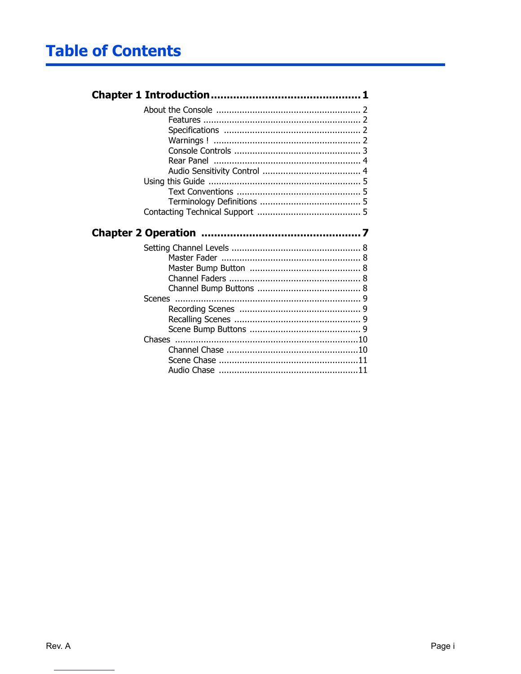$\frac{1}{\sqrt{2}}\int_{0}^{\pi}\frac{1}{\sqrt{2}}\left( \frac{1}{\sqrt{2}}\right) ^{2}d\mu d\nu$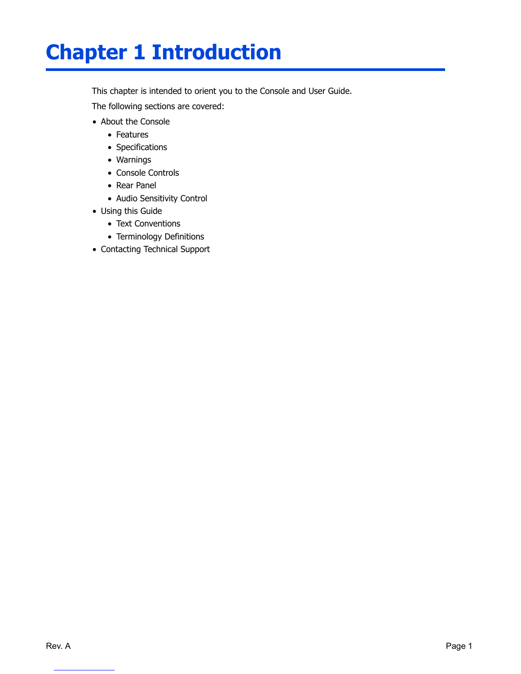# **Chapter 1 Introduction**

This chapter is intended to orient you to the Console and User Guide.

The following sections are covered:

- **•** About the Console
	- **•** Features
	- **•** Specifications
	- **•** Warnings
	- **•** Console Controls
	- **•** Rear Panel
	- **•** Audio Sensitivity Control
- **•** Using this Guide
	- **•** Text Conventions
	- **•** Terminology Definitions
- **•** Contacting Technical Support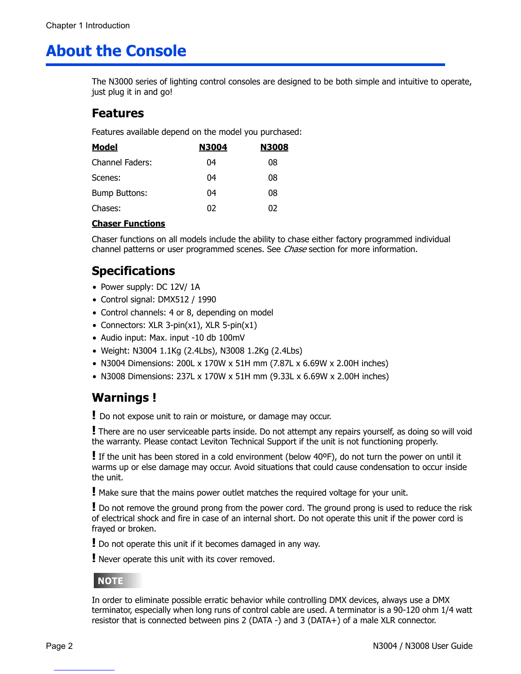## **About the Console**

The N3000 series of lighting control consoles are designed to be both simple and intuitive to operate, just plug it in and go!

## **Features**

Features available depend on the model you purchased:

| <b>Model</b>         | <b>N3004</b> | <b>N3008</b> |
|----------------------|--------------|--------------|
| Channel Faders:      | 04           | 08           |
| Scenes:              | 04           | 08           |
| <b>Bump Buttons:</b> | 04           | 08           |
| Chases:              | 02           | 02           |

### **Chaser Functions**

Chaser functions on all models include the ability to chase either factory programmed individual channel patterns or user programmed scenes. See *Chase* section for more information.

## **Specifications**

- **•** Power supply: DC 12V/ 1A
- **•** Control signal: DMX512 / 1990
- **•** Control channels: 4 or 8, depending on model
- **•** Connectors: XLR 3-pin(x1), XLR 5-pin(x1)
- **•** Audio input: Max. input -10 db 100mV
- **•** Weight: N3004 1.1Kg (2.4Lbs), N3008 1.2Kg (2.4Lbs)
- **•** N3004 Dimensions: 200L x 170W x 51H mm (7.87L x 6.69W x 2.00H inches)
- **•** N3008 Dimensions: 237L x 170W x 51H mm (9.33L x 6.69W x 2.00H inches)

## **Warnings !**

**!** Do not expose unit to rain or moisture, or damage may occur.

**!** There are no user serviceable parts inside. Do not attempt any repairs yourself, as doing so will void the warranty. Please contact Leviton Technical Support if the unit is not functioning properly.

**!** If the unit has been stored in a cold environment (below 40ºF), do not turn the power on until it warms up or else damage may occur. Avoid situations that could cause condensation to occur inside the unit.

**!** Make sure that the mains power outlet matches the required voltage for your unit.

**!** Do not remove the ground prong from the power cord. The ground prong is used to reduce the risk of electrical shock and fire in case of an internal short. Do not operate this unit if the power cord is frayed or broken.

**!** Do not operate this unit if it becomes damaged in any way.

**!** Never operate this unit with its cover removed.

## **NOTE**

In order to eliminate possible erratic behavior while controlling DMX devices, always use a DMX terminator, especially when long runs of control cable are used. A terminator is a 90-120 ohm 1/4 watt resistor that is connected between pins 2 (DATA -) and 3 (DATA+) of a male XLR connector.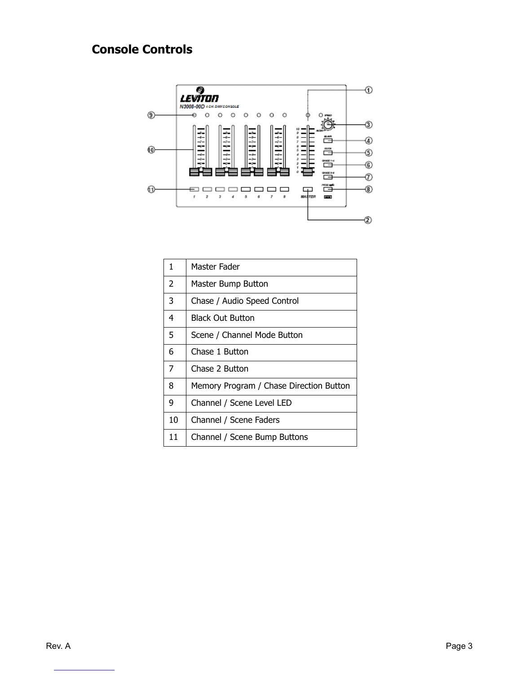## **Console Controls**



| 1  | Master Fader                            |
|----|-----------------------------------------|
| 2  | Master Bump Button                      |
| 3  | Chase / Audio Speed Control             |
| 4  | <b>Black Out Button</b>                 |
| 5  | Scene / Channel Mode Button             |
| 6  | Chase 1 Button                          |
| 7  | Chase 2 Button                          |
| 8  | Memory Program / Chase Direction Button |
| 9  | Channel / Scene Level LED               |
| 10 | Channel / Scene Faders                  |
| 11 | Channel / Scene Bump Buttons            |
|    |                                         |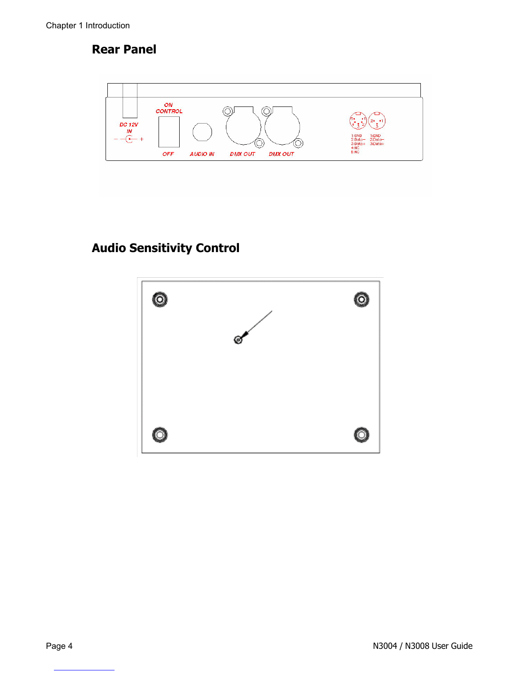## **Rear Panel**



## **Audio Sensitivity Control**

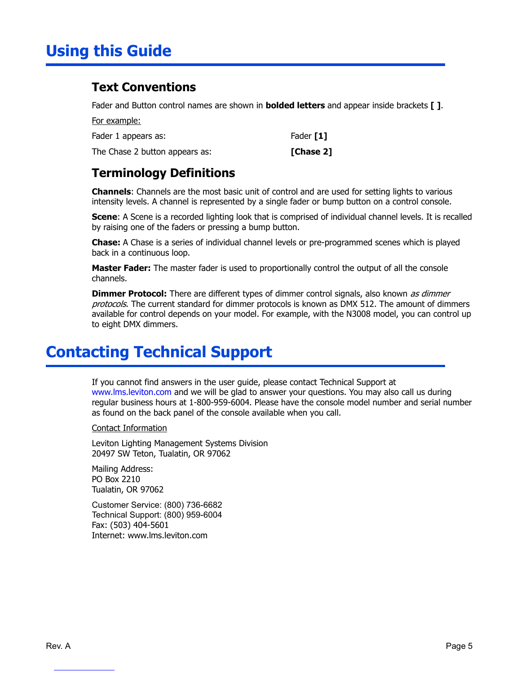## **Using this Guide**

For example:

## **Text Conventions**

Fader and Button control names are shown in **bolded letters** and appear inside brackets **[ ]**.

| The Chase 2 button appears as: | [Chase 2] |
|--------------------------------|-----------|
| Fader 1 appears as:            | Fader [1] |
| <b>UVE CARDILIPIC.</b>         |           |

## **Terminology Definitions**

**Channels**: Channels are the most basic unit of control and are used for setting lights to various intensity levels. A channel is represented by a single fader or bump button on a control console.

**Scene**: A Scene is a recorded lighting look that is comprised of individual channel levels. It is recalled by raising one of the faders or pressing a bump button.

**Chase:** A Chase is a series of individual channel levels or pre-programmed scenes which is played back in a continuous loop.

**Master Fader:** The master fader is used to proportionally control the output of all the console channels.

**Dimmer Protocol:** There are different types of dimmer control signals, also known as dimmer protocols. The current standard for dimmer protocols is known as DMX 512. The amount of dimmers available for control depends on your model. For example, with the N3008 model, you can control up to eight DMX dimmers.

## **Contacting Technical Support**

If you cannot find answers in the user guide, please contact Technical Support at www.lms.leviton.com and we will be glad to answer your questions. You may also call us during regular business hours at 1-800-959-6004. Please have the console model number and serial number as found on the back panel of the console available when you call.

Contact Information

Leviton Lighting Management Systems Division 20497 SW Teton, Tualatin, OR 97062

Mailing Address: PO Box 2210 Tualatin, OR 97062

Customer Service: (800) 736-6682 Technical Support: (800) 959-6004 Fax: (503) 404-5601 Internet: www.lms.leviton.com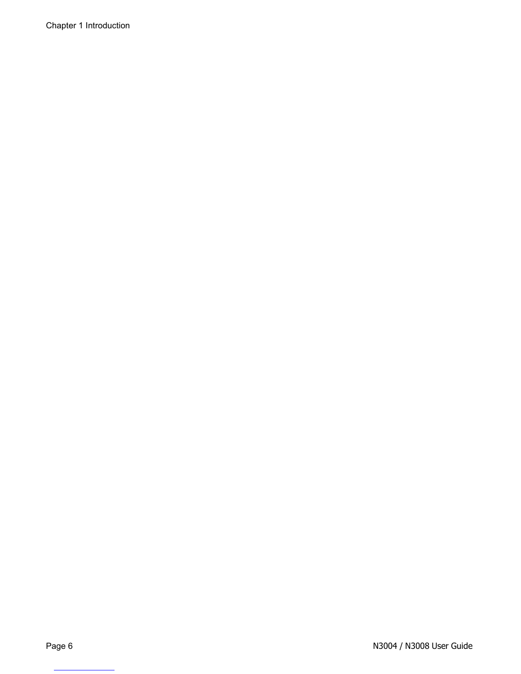Chapter 1 Introduction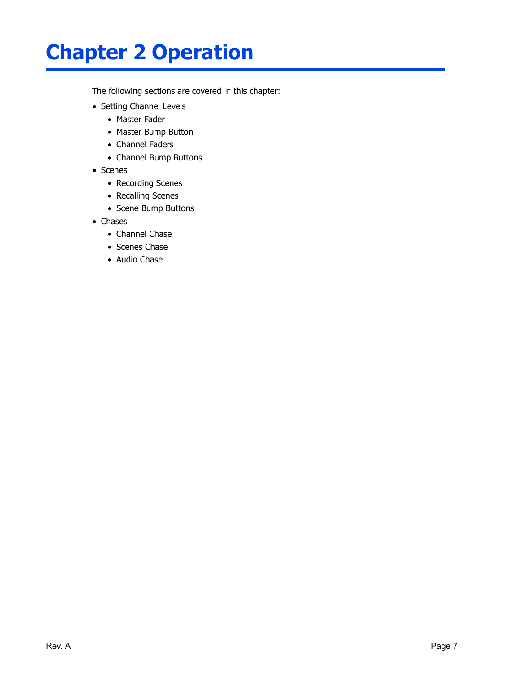# **Chapter 2 Operation**

The following sections are covered in this chapter:

- **•** Setting Channel Levels
	- **•** Master Fader
	- **•** Master Bump Button
	- **•** Channel Faders
	- **•** Channel Bump Buttons
- **•** Scenes
	- **•** Recording Scenes
	- **•** Recalling Scenes
	- **•** Scene Bump Buttons
- **•** Chases
	- **•** Channel Chase
	- **•** Scenes Chase
	- **•** Audio Chase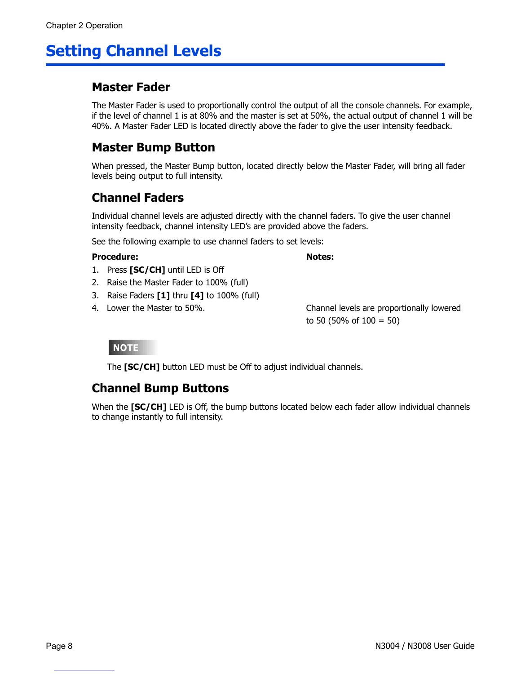## **Setting Channel Levels**

## **Master Fader**

The Master Fader is used to proportionally control the output of all the console channels. For example, if the level of channel 1 is at 80% and the master is set at 50%, the actual output of channel 1 will be 40%. A Master Fader LED is located directly above the fader to give the user intensity feedback.

## **Master Bump Button**

When pressed, the Master Bump button, located directly below the Master Fader, will bring all fader levels being output to full intensity.

## **Channel Faders**

Individual channel levels are adjusted directly with the channel faders. To give the user channel intensity feedback, channel intensity LED's are provided above the faders.

See the following example to use channel faders to set levels:

### Procedure: Notes: Notes: Notes: Notes: Notes: Notes: Notes: Notes: Notes: Notes: Notes: Notes: Notes: Notes: Notes: Notes: Notes: Notes: Notes: Notes: Notes: Notes: Notes: Notes: Notes: Notes: Notes: Notes: Notes: Notes: N

- 1. Press **[SC/CH]** until LED is Off
- 2. Raise the Master Fader to 100% (full)
- 3. Raise Faders **[1]** thru **[4]** to 100% (full)
- 

4. Lower the Master to 50%. Channel levels are proportionally lowered to 50 (50% of 100 = 50)

### **NOTE**

The **[SC/CH]** button LED must be Off to adjust individual channels.

## **Channel Bump Buttons**

When the **[SC/CH]** LED is Off, the bump buttons located below each fader allow individual channels to change instantly to full intensity.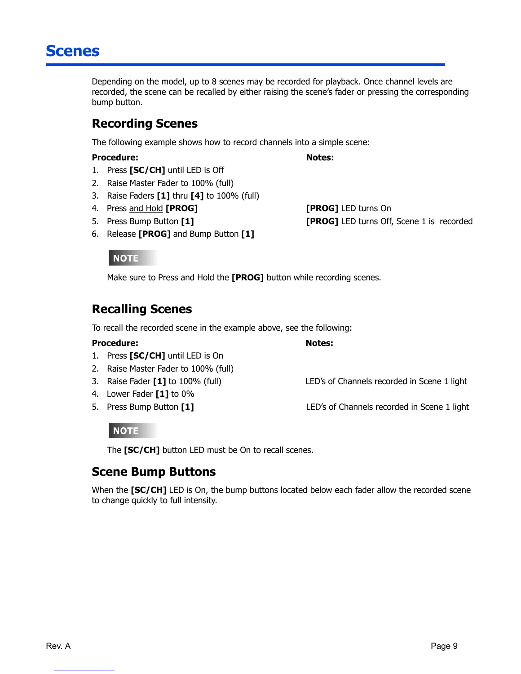## **Scenes**

Depending on the model, up to 8 scenes may be recorded for playback. Once channel levels are recorded, the scene can be recalled by either raising the scene's fader or pressing the corresponding bump button.

## **Recording Scenes**

The following example shows how to record channels into a simple scene:

### Procedure: Notes: Notes: Notes: Notes: Notes: Notes: Notes: Notes: Notes: Notes: Notes: Notes: Notes: Notes: Notes: Notes: Notes: Notes: Notes: Notes: Notes: Notes: Notes: Notes: Notes: Notes: Notes: Notes: Notes: Notes: N

- 1. Press **[SC/CH]** until LED is Off
- 2. Raise Master Fader to 100% (full)
- 3. Raise Faders **[1]** thru **[4]** to 100% (full)
- 4. Press and Hold **[PROG] [PROG]** LED turns On
- 
- 6. Release **[PROG]** and Bump Button **[1]**

5. Press Bump Button **[1] [PROG]** LED turns Off, Scene 1 is recorded

### **NOTE**

Make sure to Press and Hold the **[PROG]** button while recording scenes.

## **Recalling Scenes**

To recall the recorded scene in the example above, see the following:

### Procedure: Notes: Notes: Notes: Notes: Notes: Notes: Notes: Notes: Notes: Notes: Notes: Notes: Notes: Notes: Notes: Notes: Notes: Notes: Notes: Notes: Notes: Notes: Notes: Notes: Notes: Notes: Notes: Notes: Notes: Notes: N

- 1. Press **[SC/CH]** until LED is On
- 2. Raise Master Fader to 100% (full)
- 
- 4. Lower Fader **[1]** to 0%
- 

### **NOTE**

The **[SC/CH]** button LED must be On to recall scenes.

## **Scene Bump Buttons**

When the **[SC/CH]** LED is On, the bump buttons located below each fader allow the recorded scene to change quickly to full intensity.

3. Raise Fader **[1]** to 100% (full) LED's of Channels recorded in Scene 1 light

5. Press Bump Button **[1]** LED's of Channels recorded in Scene 1 light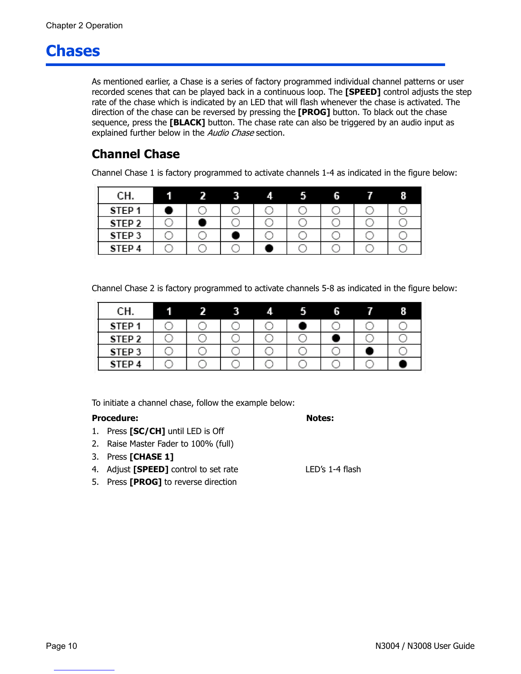## **Chases**

As mentioned earlier, a Chase is a series of factory programmed individual channel patterns or user recorded scenes that can be played back in a continuous loop. The **[SPEED]** control adjusts the step rate of the chase which is indicated by an LED that will flash whenever the chase is activated. The direction of the chase can be reversed by pressing the **[PROG]** button. To black out the chase sequence, press the **[BLACK]** button. The chase rate can also be triggered by an audio input as explained further below in the Audio Chase section.

## **Channel Chase**

Channel Chase 1 is factory programmed to activate channels 1-4 as indicated in the figure below:

| CH.               |  | 4 | D | 6 | 8 |
|-------------------|--|---|---|---|---|
| STEP <sub>1</sub> |  |   |   |   |   |
| STEP <sub>2</sub> |  |   |   |   |   |
| STEP <sub>3</sub> |  |   |   |   |   |
| STEP <sub>4</sub> |  |   |   |   |   |

Channel Chase 2 is factory programmed to activate channels 5-8 as indicated in the figure below:

| CH.               |  |  | כ | 6 | 8 |
|-------------------|--|--|---|---|---|
| STEP <sub>1</sub> |  |  |   |   |   |
| STEP <sub>2</sub> |  |  |   |   |   |
| STEP <sub>3</sub> |  |  |   |   |   |
| STEP <sub>4</sub> |  |  |   |   |   |

To initiate a channel chase, follow the example below:

### Procedure: Notes: Notes: Notes: Notes: Notes: Notes: Notes: Notes: Notes: Notes: Notes: Notes: Notes: Notes: Notes: Notes: Notes: Notes: Notes: Notes: Notes: Notes: Notes: Notes: Notes: Notes: Notes: Notes: Notes: Notes: N

- 1. Press **[SC/CH]** until LED is Off
- 2. Raise Master Fader to 100% (full)
- 3. Press **[CHASE 1]**
- 4. Adjust **[SPEED]** control to set rate LED's 1-4 flash
- 5. Press **[PROG]** to reverse direction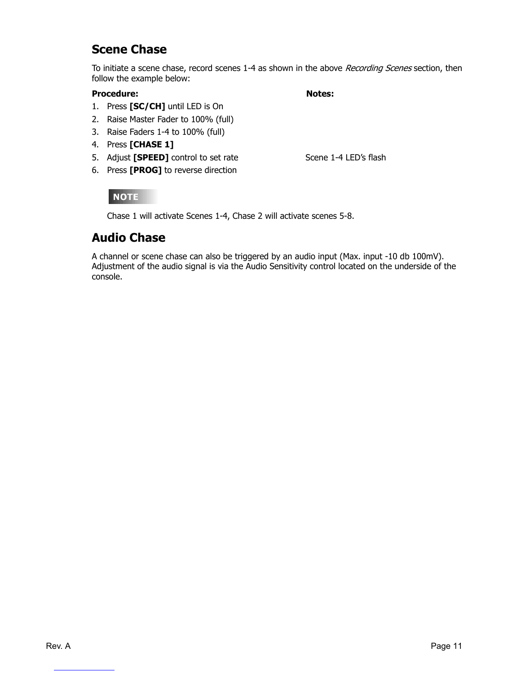## **Scene Chase**

To initiate a scene chase, record scenes 1-4 as shown in the above Recording Scenes section, then follow the example below:

### Procedure: Notes:

- 1. Press **[SC/CH]** until LED is On
- 2. Raise Master Fader to 100% (full)
- 3. Raise Faders 1-4 to 100% (full)
- 4. Press **[CHASE 1]**
- 5. Adjust **[SPEED]** control to set rate Scene 1-4 LED's flash
- 6. Press **[PROG]** to reverse direction

## **NOTE**

Chase 1 will activate Scenes 1-4, Chase 2 will activate scenes 5-8.

## **Audio Chase**

A channel or scene chase can also be triggered by an audio input (Max. input -10 db 100mV). Adjustment of the audio signal is via the Audio Sensitivity control located on the underside of the console.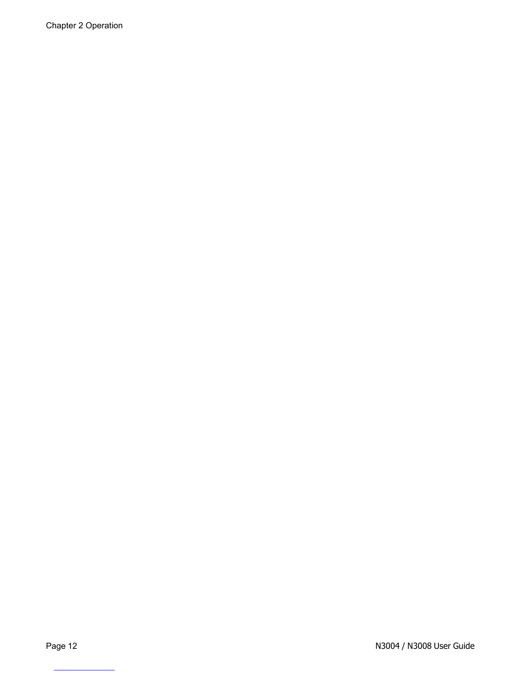Chapter 2 Operation